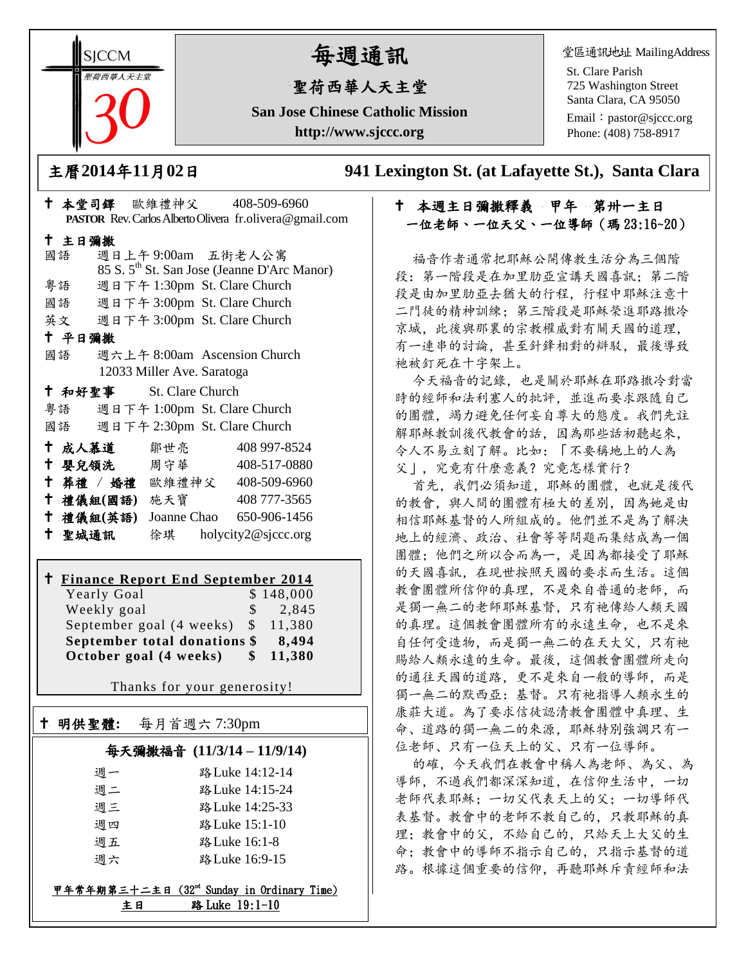**SICCM** 智荷西華人天主堂

# 每週通訊

# 聖荷西華人天主堂

**San Jose Chinese Catholic Mission http://www.sjccc.org**

堂區通訊地址 MailingAddress

St. Clare Parish 725 Washington Street Santa Clara, CA 95050

Email: [pastor@sjccc.org](mailto:pastor@sjccc.org) Phone: (408) 758-8917

主曆**2014**年**11**月**02**日 **941 Lexington St. (at Lafayette St.), Santa Clara** 

# 十 本週主日彌撒釋義 甲年 第卅一主日 一位老師、一位天父、一位導師(瑪 23:16~20)

福音作者通常把耶穌公開傳教生活分為三個階 段:第一階段是在加里肋亞宣講天國喜訊;第二階 段是由加里肋亞去猶大的行程,行程中耶穌注意十 二門徒的精神訓練;第三階段是耶穌榮進耶路撒冷 京城,此後與那裏的宗教權威對有關天國的道理, 有一連串的討論,甚至針鋒相對的辯駁,最後導致 祂被釘死在十字架上。

今天福音的記錄,也是關於耶穌在耶路撒冷對當 時的經師和法利塞人的批評,並進而要求跟隨自己 的團體,竭力避免任何妄自尊大的態度。我們先註 解耶穌教訓後代教會的話,因為那些話初聽起來, 令人不易立刻了解。比如:「不要稱地上的人為 父」,究竟有什麼意義?究竟怎樣實行?

首先,我們必須知道,耶穌的團體,也就是後代 的教會, 與人間的團體有極大的差別, 因為她是由 相信耶穌基督的人所組成的。他們並不是為了解決 地上的經濟、政治、社會等等問題而集結成為一個 團體;他們之所以合而為一,是因為都接受了耶穌 的天國喜訊,在現世按照天國的要求而生活。這個 教會團體所信仰的真理,不是來自普通的老師,而 是獨一無二的老師耶穌基督,只有祂傳給人類天國 的真理。這個教會團體所有的永遠生命,也不是來 自任何受造物,而是獨一無二的在天大父,只有祂 賜給人類永遠的生命。最後,這個教會團體所走向 的通往天國的道路,更不是來自一般的導師,而是 獨一無二的默西亞:基督。只有祂指導人類永生的 康莊大道。為了要求信徒認清教會團體中真理、生 命、道路的獨一無二的來源,耶穌特別強調只有一 位老師、只有一位天上的父、只有一位導師。

的確,今天我們在教會中稱人為老師、為父、為 導師,不過我們都深深知道,在信仰生活中,一切 老師代表耶穌;一切父代表天上的父;一切導師代 表基督。教會中的老師不教自己的,只教耶穌的真 理:教會中的父,不給自己的,只給天上大父的生 命;教會中的導師不指示自己的,只指示基督的道 路。根據這個重要的信仰,再聽耶穌斥責經師和法

| † 本堂司鐸 歐維禮神父 408-509-6960                                |
|----------------------------------------------------------|
| PASTOR Rev. Carlos Alberto Olivera fr. olivera@gmail.com |
|                                                          |
| 週日上午9:00am 五街老人公寓                                        |
| 85 S. 5 <sup>th</sup> St. San Jose (Jeanne D'Arc Manor)  |
| 粤語 週日下午 1:30pm St. Clare Church                          |
| 國語 週日下午 3:00pm St. Clare Church                          |
| 英文 週日下午 3:00pm St. Clare Church                          |
|                                                          |
| 週六上午 8:00am Ascension Church                             |
|                                                          |
|                                                          |
| 粤語 週日下午 1:00pm St. Clare Church                          |
| 國語 週日下午 2:30pm St. Clare Church                          |
| <b>†成人慕道</b> 鄒世亮 408 997-8524                            |
| † 嬰兒領洗 周守華 408-517-0880                                  |
| ↑ 葬禮 / 婚禮 歐維禮神父 408-509-6960                             |
| † 禮儀組(國語) 施天寶 408777-3565                                |
| † 禮儀組(英語) Joanne Chao 650-906-1456                       |
| † 聖城通訊   徐琪 holycity2@sjccc.org                          |
|                                                          |
| <sup>†</sup> Finance Report End September 2014           |
| 12033 Miller Ave. Saratoga<br>+ 和好聖事 St. Clare Church    |

#### **Finance Report End September 2014**  $Y<sub>early</sub>$  Goal  $$ 148,000$

| Weekly goal                           | $S -$        | 2,845  |
|---------------------------------------|--------------|--------|
| September goal $(4 \text{ weeks})$ \$ |              | 11.380 |
| September total donations \$          |              | 8.494  |
| October goal (4 weeks)                | $\mathbb{S}$ | 11,380 |

Thanks for your generosity!

# 明供聖體**:** 每月首週六 7:30pm

Ξ

# 每天彌撒福音 **(11/3/14 – 11/9/14)**

| 调一 | 路 Luke 14:12-14 |
|----|-----------------|
| 调二 | 路 Luke 14:15-24 |
| 调三 | 路 Luke 14:25-33 |
| 调四 | 路 Luke 15:1-10  |
| 週五 | 路 Luke 16:1-8   |
| 调六 | 路 Luke 16:9-15  |

## 甲年常年期第三十二主日 (32md Sunday in Ordinary Time) 主日 路 Luke 19:1-10